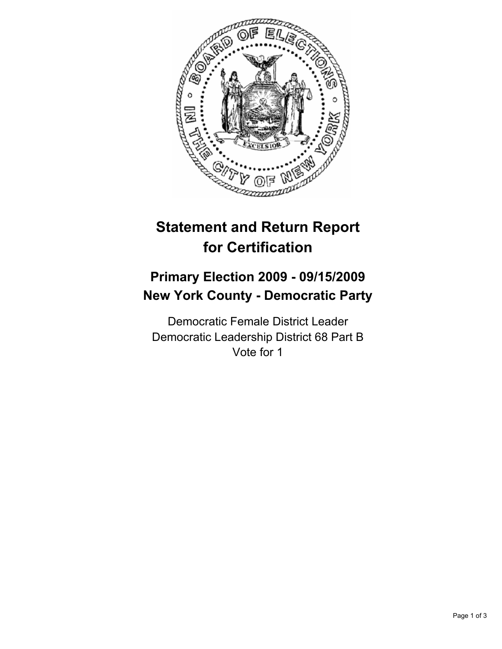

# **Statement and Return Report for Certification**

## **Primary Election 2009 - 09/15/2009 New York County - Democratic Party**

Democratic Female District Leader Democratic Leadership District 68 Part B Vote for 1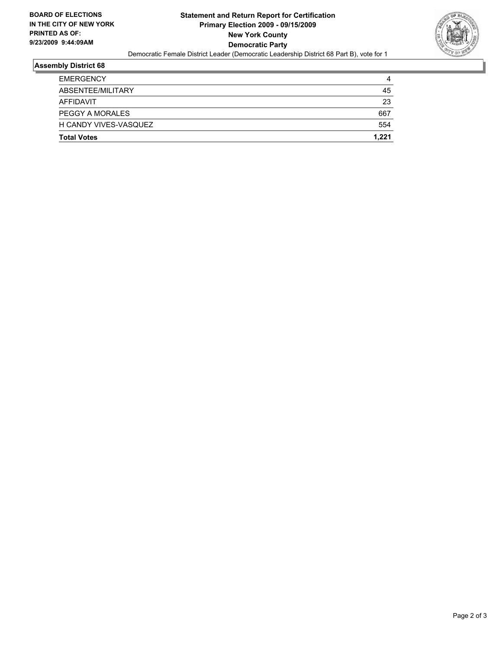

#### **Assembly District 68**

| <b>EMERGENCY</b>       | 4     |
|------------------------|-------|
| ABSENTEE/MILITARY      | 45    |
| AFFIDAVIT              | 23    |
| <b>PEGGY A MORALES</b> | 667   |
| H CANDY VIVES-VASQUEZ  | 554   |
| <b>Total Votes</b>     | 1.221 |